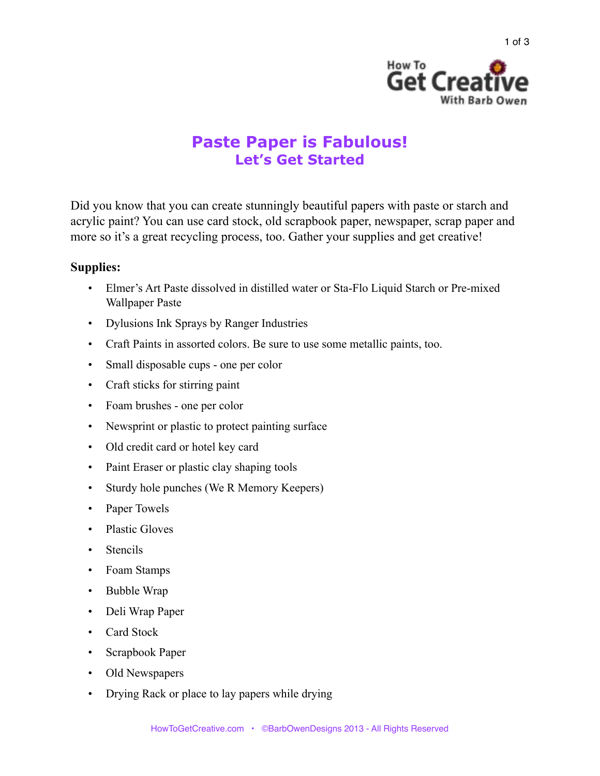

## **Paste Paper is Fabulous! Let's Get Started**

Did you know that you can create stunningly beautiful papers with paste or starch and acrylic paint? You can use card stock, old scrapbook paper, newspaper, scrap paper and more so it's a great recycling process, too. Gather your supplies and get creative!

## **Supplies:**

- Elmer's Art Paste dissolved in distilled water or Sta-Flo Liquid Starch or Pre-mixed Wallpaper Paste
- Dylusions Ink Sprays by Ranger Industries
- Craft Paints in assorted colors. Be sure to use some metallic paints, too.
- Small disposable cups one per color
- Craft sticks for stirring paint
- Foam brushes one per color
- Newsprint or plastic to protect painting surface
- Old credit card or hotel key card
- Paint Eraser or plastic clay shaping tools
- Sturdy hole punches (We R Memory Keepers)
- Paper Towels
- Plastic Gloves
- Stencils
- Foam Stamps
- Bubble Wrap
- Deli Wrap Paper
- Card Stock
- Scrapbook Paper
- Old Newspapers
- Drying Rack or place to lay papers while drying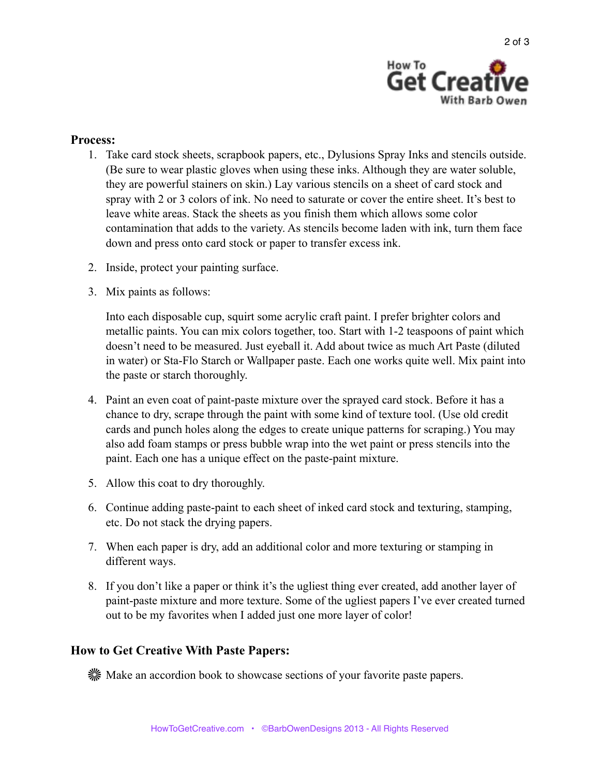

## **Process:**

- 1. Take card stock sheets, scrapbook papers, etc., Dylusions Spray Inks and stencils outside. (Be sure to wear plastic gloves when using these inks. Although they are water soluble, they are powerful stainers on skin.) Lay various stencils on a sheet of card stock and spray with 2 or 3 colors of ink. No need to saturate or cover the entire sheet. It's best to leave white areas. Stack the sheets as you finish them which allows some color contamination that adds to the variety. As stencils become laden with ink, turn them face down and press onto card stock or paper to transfer excess ink.
- 2. Inside, protect your painting surface.
- 3. Mix paints as follows:

Into each disposable cup, squirt some acrylic craft paint. I prefer brighter colors and metallic paints. You can mix colors together, too. Start with 1-2 teaspoons of paint which doesn't need to be measured. Just eyeball it. Add about twice as much Art Paste (diluted in water) or Sta-Flo Starch or Wallpaper paste. Each one works quite well. Mix paint into the paste or starch thoroughly.

- 4. Paint an even coat of paint-paste mixture over the sprayed card stock. Before it has a chance to dry, scrape through the paint with some kind of texture tool. (Use old credit cards and punch holes along the edges to create unique patterns for scraping.) You may also add foam stamps or press bubble wrap into the wet paint or press stencils into the paint. Each one has a unique effect on the paste-paint mixture.
- 5. Allow this coat to dry thoroughly.
- 6. Continue adding paste-paint to each sheet of inked card stock and texturing, stamping, etc. Do not stack the drying papers.
- 7. When each paper is dry, add an additional color and more texturing or stamping in different ways.
- 8. If you don't like a paper or think it's the ugliest thing ever created, add another layer of paint-paste mixture and more texture. Some of the ugliest papers I've ever created turned out to be my favorites when I added just one more layer of color!

## **How to Get Creative With Paste Papers:**

Make an accordion book to showcase sections of your favorite paste papers.